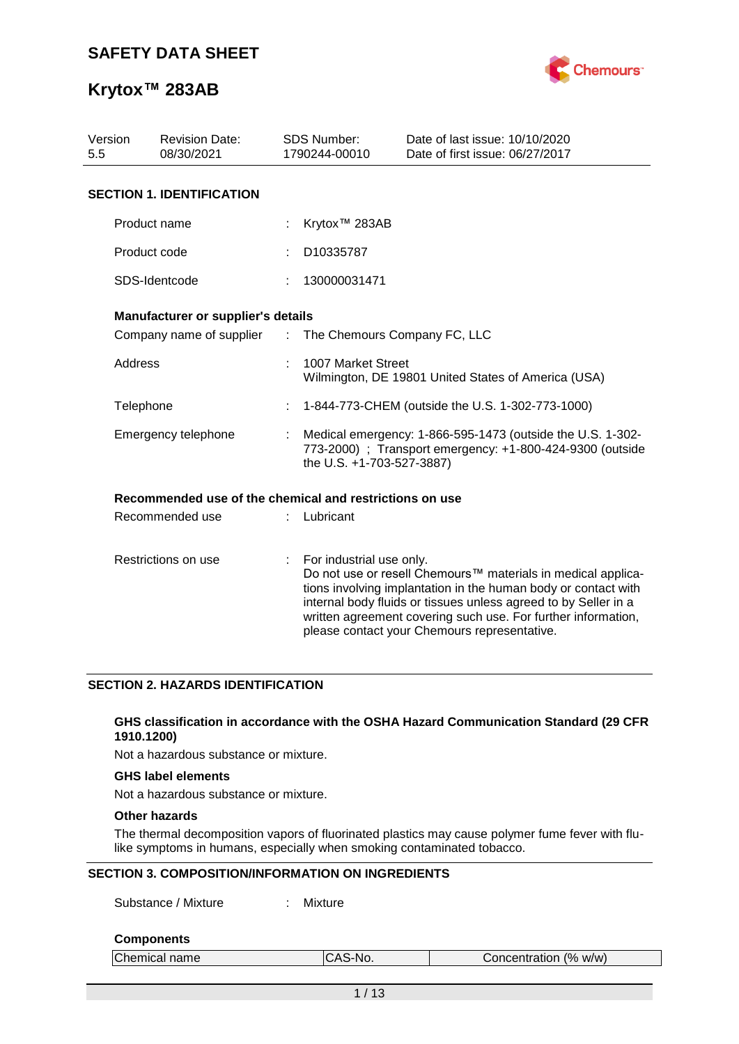

| Version<br><b>Revision Date:</b><br>5.5<br>08/30/2021 |                                                         |                | <b>SDS Number:</b><br>1790244-00010                                                                                                                  | Date of last issue: 10/10/2020<br>Date of first issue: 06/27/2017                                                                                                                                                                                                                                                  |  |  |
|-------------------------------------------------------|---------------------------------------------------------|----------------|------------------------------------------------------------------------------------------------------------------------------------------------------|--------------------------------------------------------------------------------------------------------------------------------------------------------------------------------------------------------------------------------------------------------------------------------------------------------------------|--|--|
|                                                       | <b>SECTION 1. IDENTIFICATION</b>                        |                |                                                                                                                                                      |                                                                                                                                                                                                                                                                                                                    |  |  |
|                                                       | Product name                                            |                | Krytox <sup>™</sup> 283AB                                                                                                                            |                                                                                                                                                                                                                                                                                                                    |  |  |
|                                                       | Product code                                            |                | D10335787                                                                                                                                            |                                                                                                                                                                                                                                                                                                                    |  |  |
|                                                       | SDS-Identcode                                           |                | 130000031471                                                                                                                                         |                                                                                                                                                                                                                                                                                                                    |  |  |
|                                                       | Manufacturer or supplier's details                      |                |                                                                                                                                                      |                                                                                                                                                                                                                                                                                                                    |  |  |
|                                                       | Company name of supplier                                | $\mathbb{Z}^n$ | The Chemours Company FC, LLC                                                                                                                         |                                                                                                                                                                                                                                                                                                                    |  |  |
|                                                       | Address                                                 |                | 1007 Market Street<br>Wilmington, DE 19801 United States of America (USA)                                                                            |                                                                                                                                                                                                                                                                                                                    |  |  |
|                                                       | Telephone                                               |                | 1-844-773-CHEM (outside the U.S. 1-302-773-1000)                                                                                                     |                                                                                                                                                                                                                                                                                                                    |  |  |
|                                                       | Emergency telephone                                     |                | Medical emergency: 1-866-595-1473 (outside the U.S. 1-302-<br>773-2000) ; Transport emergency: +1-800-424-9300 (outside<br>the U.S. +1-703-527-3887) |                                                                                                                                                                                                                                                                                                                    |  |  |
|                                                       | Recommended use of the chemical and restrictions on use |                |                                                                                                                                                      |                                                                                                                                                                                                                                                                                                                    |  |  |
|                                                       | Recommended use                                         |                | Lubricant                                                                                                                                            |                                                                                                                                                                                                                                                                                                                    |  |  |
| Restrictions on use                                   |                                                         | ÷              | For industrial use only.                                                                                                                             | Do not use or resell Chemours™ materials in medical applica-<br>tions involving implantation in the human body or contact with<br>internal body fluids or tissues unless agreed to by Seller in a<br>written agreement covering such use. For further information,<br>please contact your Chemours representative. |  |  |

### **SECTION 2. HAZARDS IDENTIFICATION**

### **GHS classification in accordance with the OSHA Hazard Communication Standard (29 CFR 1910.1200)**

Not a hazardous substance or mixture.

### **GHS label elements**

Not a hazardous substance or mixture.

### **Other hazards**

The thermal decomposition vapors of fluorinated plastics may cause polymer fume fever with flulike symptoms in humans, especially when smoking contaminated tobacco.

### **SECTION 3. COMPOSITION/INFORMATION ON INGREDIENTS**

Substance / Mixture : Mixture

#### **Components**

| Chemical name | ∵ิAS-No. | Concentration (% w/w) |
|---------------|----------|-----------------------|
|               |          |                       |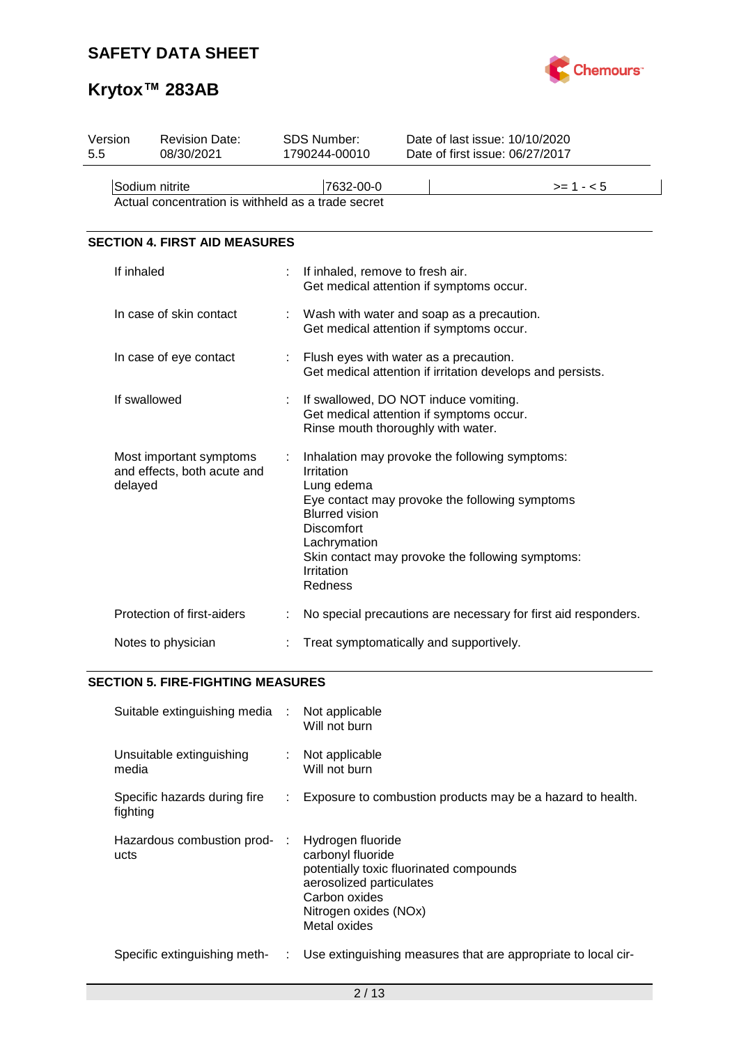

# **Krytox™ 283AB**

| <b>Revision Date:</b><br>08/30/2021                               |  |                                                                                                          | Date of last issue: 10/10/2020<br>Date of first issue: 06/27/2017                                                                                    |  |  |  |  |  |
|-------------------------------------------------------------------|--|----------------------------------------------------------------------------------------------------------|------------------------------------------------------------------------------------------------------------------------------------------------------|--|--|--|--|--|
| Sodium nitrite                                                    |  | 7632-00-0                                                                                                | $>= 1 - 5$                                                                                                                                           |  |  |  |  |  |
| <b>SECTION 4. FIRST AID MEASURES</b>                              |  |                                                                                                          |                                                                                                                                                      |  |  |  |  |  |
| If inhaled                                                        |  |                                                                                                          | If inhaled, remove to fresh air.<br>Get medical attention if symptoms occur.                                                                         |  |  |  |  |  |
| In case of skin contact                                           |  |                                                                                                          | Wash with water and soap as a precaution.<br>Get medical attention if symptoms occur.                                                                |  |  |  |  |  |
| In case of eye contact                                            |  | Flush eyes with water as a precaution.<br>Get medical attention if irritation develops and persists.     |                                                                                                                                                      |  |  |  |  |  |
| If swallowed                                                      |  |                                                                                                          | If swallowed, DO NOT induce vomiting.<br>Get medical attention if symptoms occur.<br>Rinse mouth thoroughly with water.                              |  |  |  |  |  |
| Most important symptoms<br>and effects, both acute and<br>delayed |  | Irritation<br>Lung edema<br><b>Blurred vision</b><br>Discomfort<br>Lachrymation<br>Irritation<br>Redness | Inhalation may provoke the following symptoms:<br>Eye contact may provoke the following symptoms<br>Skin contact may provoke the following symptoms: |  |  |  |  |  |
| Protection of first-aiders                                        |  |                                                                                                          | No special precautions are necessary for first aid responders.                                                                                       |  |  |  |  |  |
| Notes to physician                                                |  | Treat symptomatically and supportively.                                                                  |                                                                                                                                                      |  |  |  |  |  |
|                                                                   |  |                                                                                                          | SDS Number:<br>1790244-00010<br>Actual concentration is withheld as a trade secret                                                                   |  |  |  |  |  |

### **SECTION 5. FIRE-FIGHTING MEASURES**

| Suitable extinguishing media :           |    | Not applicable<br>Will not burn                                                                                                                                         |
|------------------------------------------|----|-------------------------------------------------------------------------------------------------------------------------------------------------------------------------|
| Unsuitable extinguishing<br>media        |    | Not applicable<br>Will not burn                                                                                                                                         |
| Specific hazards during fire<br>fighting | ÷. | Exposure to combustion products may be a hazard to health.                                                                                                              |
| Hazardous combustion prod- :<br>ucts     |    | Hydrogen fluoride<br>carbonyl fluoride<br>potentially toxic fluorinated compounds<br>aerosolized particulates<br>Carbon oxides<br>Nitrogen oxides (NOx)<br>Metal oxides |
| Specific extinguishing meth-             | ÷. | Use extinguishing measures that are appropriate to local cir-                                                                                                           |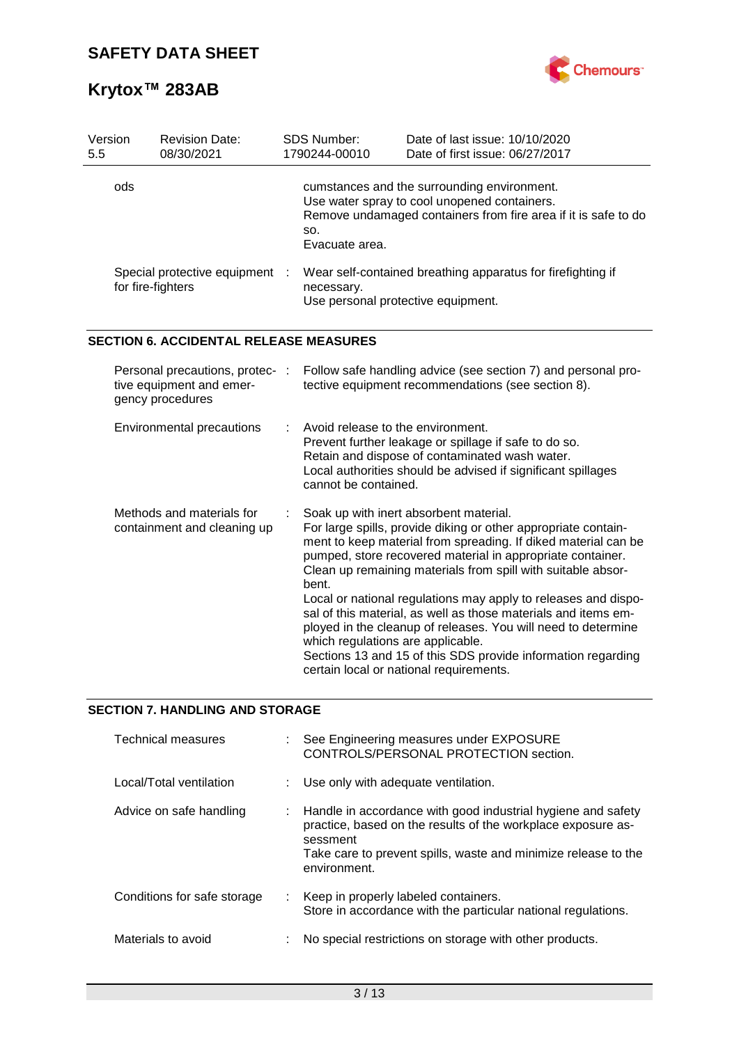

| Version<br>5.5 | <b>Revision Date:</b><br>08/30/2021                                             |  | <b>SDS Number:</b><br>1790244-00010                                                                             | Date of last issue: 10/10/2020<br>Date of first issue: 06/27/2017                                                                                                                                                                                                                                                                                                                                                                                                                                                                                                                                                        |
|----------------|---------------------------------------------------------------------------------|--|-----------------------------------------------------------------------------------------------------------------|--------------------------------------------------------------------------------------------------------------------------------------------------------------------------------------------------------------------------------------------------------------------------------------------------------------------------------------------------------------------------------------------------------------------------------------------------------------------------------------------------------------------------------------------------------------------------------------------------------------------------|
|                | ods                                                                             |  | SO.<br>Evacuate area.                                                                                           | cumstances and the surrounding environment.<br>Use water spray to cool unopened containers.<br>Remove undamaged containers from fire area if it is safe to do                                                                                                                                                                                                                                                                                                                                                                                                                                                            |
|                | Special protective equipment :<br>for fire-fighters                             |  | Wear self-contained breathing apparatus for firefighting if<br>necessary.<br>Use personal protective equipment. |                                                                                                                                                                                                                                                                                                                                                                                                                                                                                                                                                                                                                          |
|                | <b>SECTION 6. ACCIDENTAL RELEASE MEASURES</b>                                   |  |                                                                                                                 |                                                                                                                                                                                                                                                                                                                                                                                                                                                                                                                                                                                                                          |
|                | Personal precautions, protec- :<br>tive equipment and emer-<br>gency procedures |  |                                                                                                                 | Follow safe handling advice (see section 7) and personal pro-<br>tective equipment recommendations (see section 8).                                                                                                                                                                                                                                                                                                                                                                                                                                                                                                      |
|                | <b>Environmental precautions</b>                                                |  | Avoid release to the environment.<br>cannot be contained.                                                       | Prevent further leakage or spillage if safe to do so.<br>Retain and dispose of contaminated wash water.<br>Local authorities should be advised if significant spillages                                                                                                                                                                                                                                                                                                                                                                                                                                                  |
|                | Methods and materials for<br>containment and cleaning up                        |  | bent.<br>which regulations are applicable.                                                                      | Soak up with inert absorbent material.<br>For large spills, provide diking or other appropriate contain-<br>ment to keep material from spreading. If diked material can be<br>pumped, store recovered material in appropriate container.<br>Clean up remaining materials from spill with suitable absor-<br>Local or national regulations may apply to releases and dispo-<br>sal of this material, as well as those materials and items em-<br>ployed in the cleanup of releases. You will need to determine<br>Sections 13 and 15 of this SDS provide information regarding<br>certain local or national requirements. |

## **SECTION 7. HANDLING AND STORAGE**

| Technical measures          |   | See Engineering measures under EXPOSURE<br>CONTROLS/PERSONAL PROTECTION section.                                                                                                                                             |
|-----------------------------|---|------------------------------------------------------------------------------------------------------------------------------------------------------------------------------------------------------------------------------|
| Local/Total ventilation     |   | Use only with adequate ventilation.                                                                                                                                                                                          |
| Advice on safe handling     |   | : Handle in accordance with good industrial hygiene and safety<br>practice, based on the results of the workplace exposure as-<br>sessment<br>Take care to prevent spills, waste and minimize release to the<br>environment. |
| Conditions for safe storage |   | : Keep in properly labeled containers.<br>Store in accordance with the particular national regulations.                                                                                                                      |
| Materials to avoid          | ÷ | No special restrictions on storage with other products.                                                                                                                                                                      |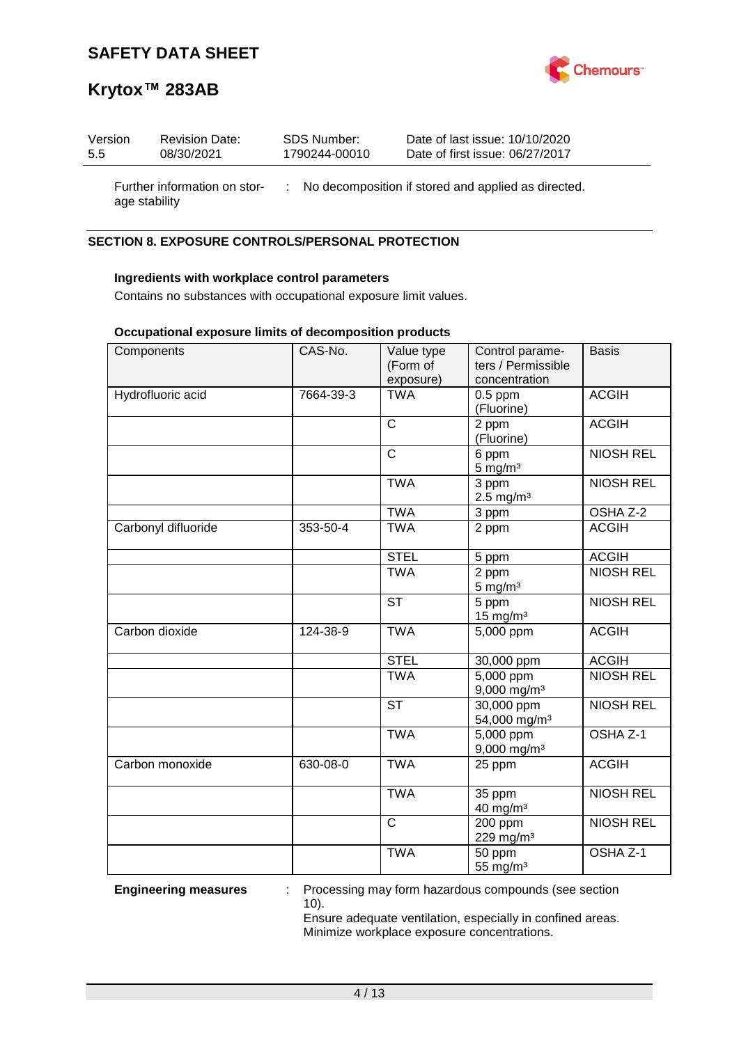

| Version       | <b>Revision Date:</b>        | SDS Number:   | Date of last issue: 10/10/2020                        |
|---------------|------------------------------|---------------|-------------------------------------------------------|
| 5.5           | 08/30/2021                   | 1790244-00010 | Date of first issue: 06/27/2017                       |
| age stability | Further information on stor- |               | : No decomposition if stored and applied as directed. |

### **SECTION 8. EXPOSURE CONTROLS/PERSONAL PROTECTION**

### **Ingredients with workplace control parameters**

Contains no substances with occupational exposure limit values.

### **Occupational exposure limits of decomposition products**

| Components          | CAS-No.   | Value type<br>(Form of | Control parame-<br>ters / Permissible               | <b>Basis</b>        |
|---------------------|-----------|------------------------|-----------------------------------------------------|---------------------|
|                     |           | exposure)              | concentration                                       |                     |
| Hydrofluoric acid   | 7664-39-3 | <b>TWA</b>             | $0.5$ ppm<br>(Fluorine)                             | <b>ACGIH</b>        |
|                     |           | $\mathsf{C}$           | 2 ppm<br>(Fluorine)                                 | <b>ACGIH</b>        |
|                     |           | $\mathsf{C}$           | 6 ppm<br>$5$ mg/m $3$                               | <b>NIOSH REL</b>    |
|                     |           | <b>TWA</b>             | $\overline{3}$ ppm<br>$2.5$ mg/m <sup>3</sup>       | <b>NIOSH REL</b>    |
|                     |           | <b>TWA</b>             | 3 ppm                                               | OSHA Z-2            |
| Carbonyl difluoride | 353-50-4  | <b>TWA</b>             | 2 ppm                                               | <b>ACGIH</b>        |
|                     |           | <b>STEL</b>            | 5 ppm                                               | <b>ACGIH</b>        |
|                     |           | <b>TWA</b>             | 2 ppm<br>$5 \text{ mg/m}^3$                         | <b>NIOSH REL</b>    |
|                     |           | <b>ST</b>              | 5 ppm<br>$15$ mg/m <sup>3</sup>                     | <b>NIOSH REL</b>    |
| Carbon dioxide      | 124-38-9  | <b>TWA</b>             | 5,000 ppm                                           | <b>ACGIH</b>        |
|                     |           | <b>STEL</b>            | 30,000 ppm                                          | <b>ACGIH</b>        |
|                     |           | <b>TWA</b>             | $\overline{5,000}$ ppm<br>$9,000$ mg/m <sup>3</sup> | <b>NIOSH REL</b>    |
|                     |           | <b>ST</b>              | 30,000 ppm<br>54,000 mg/m <sup>3</sup>              | <b>NIOSH REL</b>    |
|                     |           | <b>TWA</b>             | 5,000 ppm<br>9,000 mg/m <sup>3</sup>                | OSHA <sub>Z-1</sub> |
| Carbon monoxide     | 630-08-0  | <b>TWA</b>             | 25 ppm                                              | <b>ACGIH</b>        |
|                     |           | <b>TWA</b>             | 35 ppm<br>40 mg/m <sup>3</sup>                      | <b>NIOSH REL</b>    |
|                     |           | $\mathsf{C}$           | $200$ ppm<br>229 mg/m <sup>3</sup>                  | <b>NIOSH REL</b>    |
|                     |           | <b>TWA</b>             | 50 ppm<br>55 mg/m <sup>3</sup>                      | OSHA Z-1            |

**Engineering measures** : Processing may form hazardous compounds (see section 10).

> Ensure adequate ventilation, especially in confined areas. Minimize workplace exposure concentrations.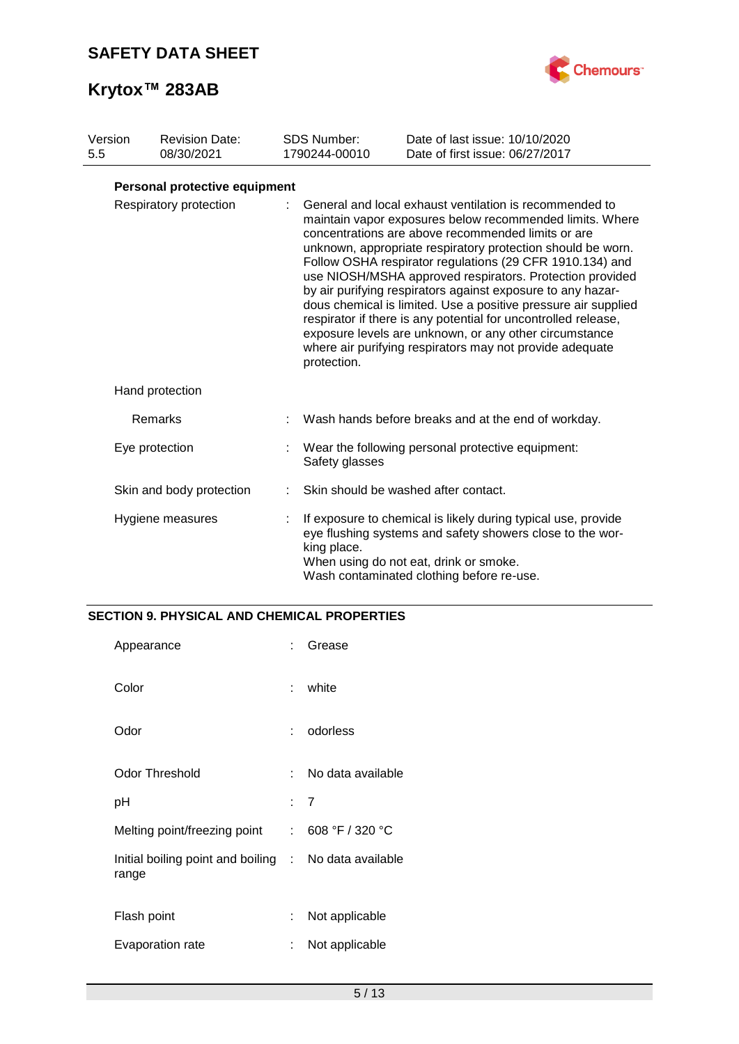

| Version<br>5.5         |  | <b>Revision Date:</b><br>08/30/2021                                                                                                                                                                                                                                                                                                                                                                                                                                                                                                                                                                                                                                                                      | <b>SDS Number:</b><br>1790244-00010 | Date of last issue: 10/10/2020<br>Date of first issue: 06/27/2017                                                                                                                                                 |
|------------------------|--|----------------------------------------------------------------------------------------------------------------------------------------------------------------------------------------------------------------------------------------------------------------------------------------------------------------------------------------------------------------------------------------------------------------------------------------------------------------------------------------------------------------------------------------------------------------------------------------------------------------------------------------------------------------------------------------------------------|-------------------------------------|-------------------------------------------------------------------------------------------------------------------------------------------------------------------------------------------------------------------|
|                        |  | Personal protective equipment                                                                                                                                                                                                                                                                                                                                                                                                                                                                                                                                                                                                                                                                            |                                     |                                                                                                                                                                                                                   |
| Respiratory protection |  | General and local exhaust ventilation is recommended to<br>maintain vapor exposures below recommended limits. Where<br>concentrations are above recommended limits or are<br>unknown, appropriate respiratory protection should be worn.<br>Follow OSHA respirator regulations (29 CFR 1910.134) and<br>use NIOSH/MSHA approved respirators. Protection provided<br>by air purifying respirators against exposure to any hazar-<br>dous chemical is limited. Use a positive pressure air supplied<br>respirator if there is any potential for uncontrolled release,<br>exposure levels are unknown, or any other circumstance<br>where air purifying respirators may not provide adequate<br>protection. |                                     |                                                                                                                                                                                                                   |
|                        |  | Hand protection                                                                                                                                                                                                                                                                                                                                                                                                                                                                                                                                                                                                                                                                                          |                                     |                                                                                                                                                                                                                   |
|                        |  | Remarks                                                                                                                                                                                                                                                                                                                                                                                                                                                                                                                                                                                                                                                                                                  |                                     | Wash hands before breaks and at the end of workday.                                                                                                                                                               |
|                        |  | Eye protection                                                                                                                                                                                                                                                                                                                                                                                                                                                                                                                                                                                                                                                                                           | Safety glasses                      | Wear the following personal protective equipment:                                                                                                                                                                 |
|                        |  | Skin and body protection                                                                                                                                                                                                                                                                                                                                                                                                                                                                                                                                                                                                                                                                                 |                                     | Skin should be washed after contact.                                                                                                                                                                              |
|                        |  | Hygiene measures                                                                                                                                                                                                                                                                                                                                                                                                                                                                                                                                                                                                                                                                                         | king place.                         | If exposure to chemical is likely during typical use, provide<br>eye flushing systems and safety showers close to the wor-<br>When using do not eat, drink or smoke.<br>Wash contaminated clothing before re-use. |

### **SECTION 9. PHYSICAL AND CHEMICAL PROPERTIES**

| Appearance                                                     | t.  | Grease            |
|----------------------------------------------------------------|-----|-------------------|
| Color                                                          | t.  | white             |
| Odor                                                           |     | odorless          |
| <b>Odor Threshold</b>                                          | × 1 | No data available |
| рH                                                             |     | : 7               |
| Melting point/freezing point                                   |     | : 608 °F / 320 °C |
| Initial boiling point and boiling : No data available<br>range |     |                   |
| Flash point                                                    | t.  | Not applicable    |
| Evaporation rate                                               | ÷   | Not applicable    |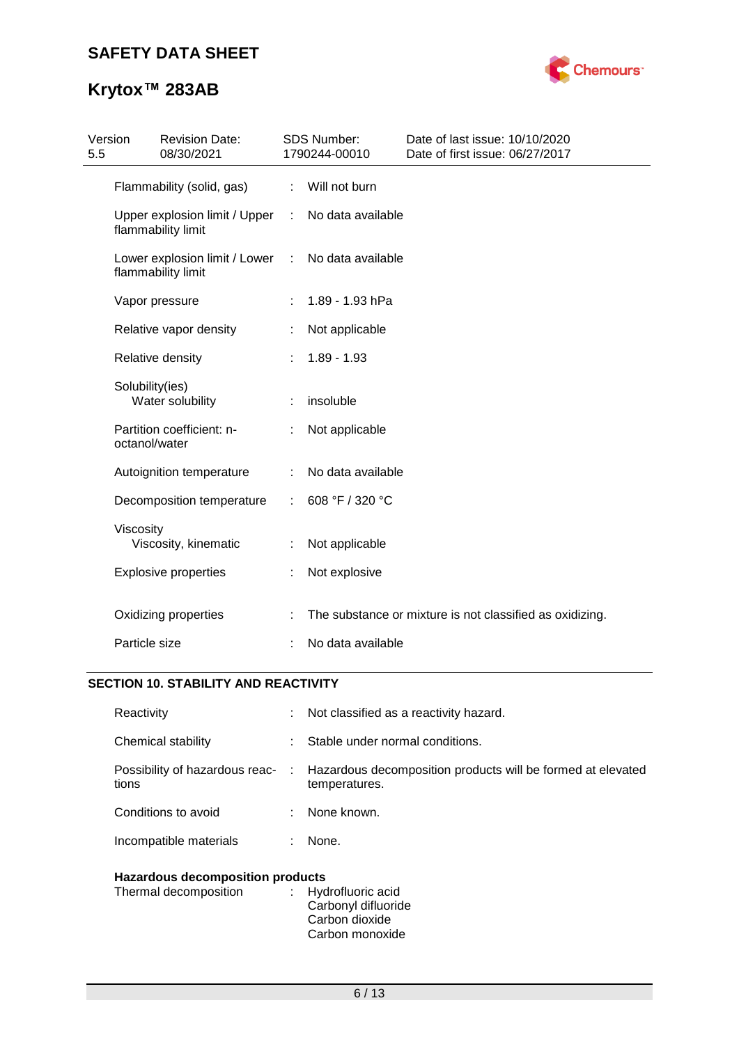

# **Krytox™ 283AB**

| Version<br>5.5 | <b>Revision Date:</b><br>08/30/2021                 |    | <b>SDS Number:</b><br>1790244-00010 | Date of last issue: 10/10/2020<br>Date of first issue: 06/27/2017 |
|----------------|-----------------------------------------------------|----|-------------------------------------|-------------------------------------------------------------------|
|                | Flammability (solid, gas)                           | ÷. | Will not burn                       |                                                                   |
|                | Upper explosion limit / Upper<br>flammability limit |    | No data available                   |                                                                   |
|                | Lower explosion limit / Lower<br>flammability limit | ÷  | No data available                   |                                                                   |
|                | Vapor pressure                                      |    | 1.89 - 1.93 hPa                     |                                                                   |
|                | Relative vapor density                              |    | Not applicable                      |                                                                   |
|                | Relative density                                    |    | $1.89 - 1.93$                       |                                                                   |
|                | Solubility(ies)<br>Water solubility                 |    | insoluble                           |                                                                   |
|                | Partition coefficient: n-<br>octanol/water          |    | Not applicable                      |                                                                   |
|                | Autoignition temperature                            | ÷  | No data available                   |                                                                   |
|                | Decomposition temperature                           | ÷  | 608 °F / 320 °C                     |                                                                   |
|                | Viscosity<br>Viscosity, kinematic                   |    | Not applicable                      |                                                                   |
|                | <b>Explosive properties</b>                         | ÷  | Not explosive                       |                                                                   |
|                | Oxidizing properties                                |    |                                     | The substance or mixture is not classified as oxidizing.          |
|                | Particle size                                       |    | No data available                   |                                                                   |

## **SECTION 10. STABILITY AND REACTIVITY**

| Hazardous decomposition products        |    |                                                                                |  |  |
|-----------------------------------------|----|--------------------------------------------------------------------------------|--|--|
| Incompatible materials<br>None.<br>÷.   |    |                                                                                |  |  |
| Conditions to avoid                     |    | None known.                                                                    |  |  |
| Possibility of hazardous reac-<br>tions |    | : Hazardous decomposition products will be formed at elevated<br>temperatures. |  |  |
| Chemical stability                      |    | Stable under normal conditions.                                                |  |  |
| Reactivity                              | t. | Not classified as a reactivity hazard.                                         |  |  |

| : Hydrofluoric acid |
|---------------------|
| Carbonyl difluoride |
| Carbon dioxide      |
| Carbon monoxide     |
|                     |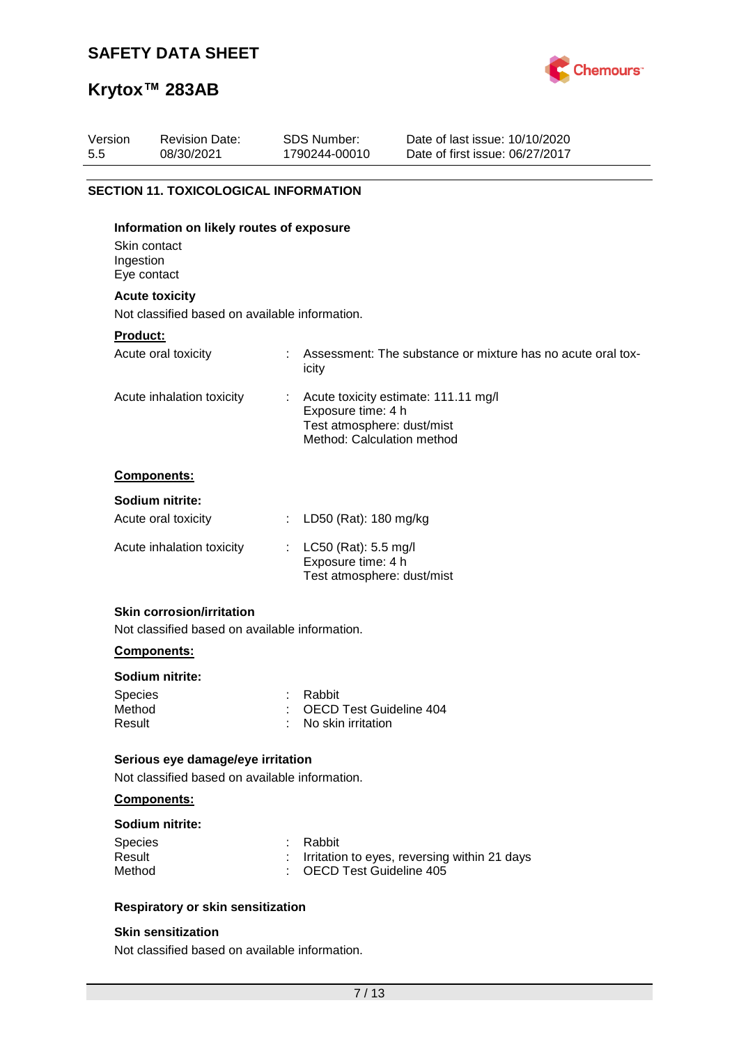

# **Krytox™ 283AB**

| Version<br>5.5 | <b>Revision Date:</b><br>08/30/2021            | SDS Number:<br>1790244-00010                                                   | Date of last issue: 10/10/2020<br>Date of first issue: 06/27/2017 |
|----------------|------------------------------------------------|--------------------------------------------------------------------------------|-------------------------------------------------------------------|
|                |                                                |                                                                                |                                                                   |
|                | <b>SECTION 11. TOXICOLOGICAL INFORMATION</b>   |                                                                                |                                                                   |
|                | Information on likely routes of exposure       |                                                                                |                                                                   |
| Ingestion      | Skin contact<br>Eye contact                    |                                                                                |                                                                   |
|                | <b>Acute toxicity</b>                          |                                                                                |                                                                   |
|                | Not classified based on available information. |                                                                                |                                                                   |
| Product:       |                                                |                                                                                |                                                                   |
|                | Acute oral toxicity                            | icity                                                                          | Assessment: The substance or mixture has no acute oral tox-       |
|                | Acute inhalation toxicity                      | Exposure time: 4 h<br>Test atmosphere: dust/mist<br>Method: Calculation method | Acute toxicity estimate: 111.11 mg/l                              |
|                | <b>Components:</b>                             |                                                                                |                                                                   |
|                | Sodium nitrite:                                |                                                                                |                                                                   |
|                | Acute oral toxicity                            | LD50 (Rat): 180 mg/kg                                                          |                                                                   |
|                | Acute inhalation toxicity                      | LC50 (Rat): 5.5 mg/l<br>Exposure time: 4 h<br>Test atmosphere: dust/mist       |                                                                   |
|                | <b>Skin corrosion/irritation</b>               |                                                                                |                                                                   |
|                | Not classified based on available information. |                                                                                |                                                                   |
|                | <b>Components:</b>                             |                                                                                |                                                                   |

### **Sodium nitrite:**

| Species | : Rabbit                  |
|---------|---------------------------|
| Method  | : OECD Test Guideline 404 |
| Result  | : No skin irritation      |

### **Serious eye damage/eye irritation**

Not classified based on available information.

### **Components:**

### **Sodium nitrite:**

| <b>Species</b> | : Rabbit                                       |
|----------------|------------------------------------------------|
| Result         | : Irritation to eyes, reversing within 21 days |
| Method         | : OECD Test Guideline 405                      |

### **Respiratory or skin sensitization**

### **Skin sensitization**

Not classified based on available information.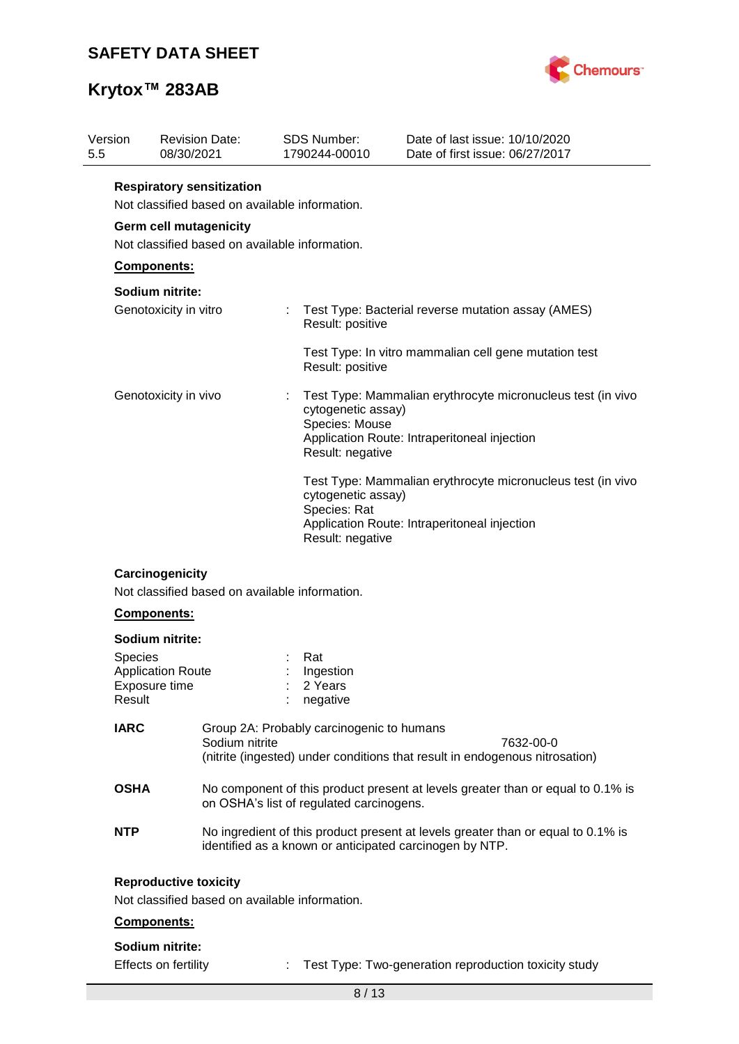

# **Krytox™ 283AB**

| Version<br>5.5           | <b>Revision Date:</b><br>08/30/2021                                                | SDS Number:<br>1790244-00010              |                                                          | Date of last issue: 10/10/2020<br>Date of first issue: 06/27/2017                                                                           |
|--------------------------|------------------------------------------------------------------------------------|-------------------------------------------|----------------------------------------------------------|---------------------------------------------------------------------------------------------------------------------------------------------|
|                          | <b>Respiratory sensitization</b><br>Not classified based on available information. |                                           |                                                          |                                                                                                                                             |
|                          | Germ cell mutagenicity                                                             |                                           |                                                          |                                                                                                                                             |
|                          | Not classified based on available information.                                     |                                           |                                                          |                                                                                                                                             |
|                          | Components:                                                                        |                                           |                                                          |                                                                                                                                             |
|                          | Sodium nitrite:                                                                    |                                           |                                                          |                                                                                                                                             |
|                          | Genotoxicity in vitro                                                              |                                           | Result: positive                                         | Test Type: Bacterial reverse mutation assay (AMES)                                                                                          |
|                          |                                                                                    |                                           | Result: positive                                         | Test Type: In vitro mammalian cell gene mutation test                                                                                       |
| Genotoxicity in vivo     |                                                                                    |                                           | cytogenetic assay)<br>Species: Mouse<br>Result: negative | Test Type: Mammalian erythrocyte micronucleus test (in vivo<br>Application Route: Intraperitoneal injection                                 |
|                          |                                                                                    | Species: Rat                              | cytogenetic assay)<br>Result: negative                   | Test Type: Mammalian erythrocyte micronucleus test (in vivo<br>Application Route: Intraperitoneal injection                                 |
|                          | Carcinogenicity<br>Not classified based on available information.<br>Components:   |                                           |                                                          |                                                                                                                                             |
|                          | Sodium nitrite:                                                                    |                                           |                                                          |                                                                                                                                             |
| <b>Species</b><br>Result | <b>Application Route</b><br>Exposure time                                          | Rat<br>Ingestion<br>2 Years<br>negative   |                                                          |                                                                                                                                             |
| <b>IARC</b>              | Sodium nitrite                                                                     | Group 2A: Probably carcinogenic to humans |                                                          | 7632-00-0<br>(nitrite (ingested) under conditions that result in endogenous nitrosation)                                                    |
| <b>OSHA</b>              |                                                                                    | on OSHA's list of regulated carcinogens.  |                                                          | No component of this product present at levels greater than or equal to 0.1% is                                                             |
| <b>NTP</b>               |                                                                                    |                                           |                                                          | No ingredient of this product present at levels greater than or equal to 0.1% is<br>identified as a known or anticipated carcinogen by NTP. |
|                          | <b>Reproductive toxicity</b><br>Not classified based on available information.     |                                           |                                                          |                                                                                                                                             |
|                          | Components:                                                                        |                                           |                                                          |                                                                                                                                             |
|                          | Sodium nitrite:                                                                    |                                           |                                                          |                                                                                                                                             |
|                          |                                                                                    |                                           |                                                          |                                                                                                                                             |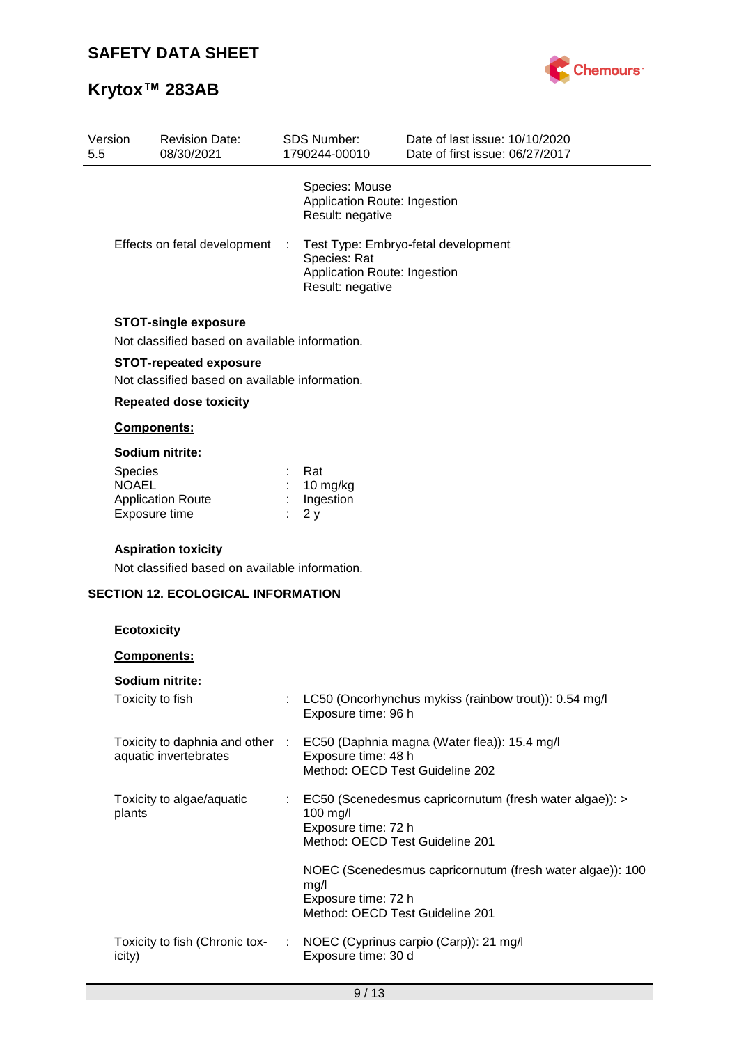

| Version<br>5.5 |                    | <b>Revision Date:</b><br>08/30/2021                                           | <b>SDS Number:</b><br>1790244-00010                                                                     | Date of last issue: 10/10/2020<br>Date of first issue: 06/27/2017 |  |  |
|----------------|--------------------|-------------------------------------------------------------------------------|---------------------------------------------------------------------------------------------------------|-------------------------------------------------------------------|--|--|
|                |                    |                                                                               | Species: Mouse<br>Application Route: Ingestion<br>Result: negative                                      |                                                                   |  |  |
|                |                    | Effects on fetal development                                                  | Test Type: Embryo-fetal development<br>Species: Rat<br>Application Route: Ingestion<br>Result: negative |                                                                   |  |  |
|                |                    | <b>STOT-single exposure</b><br>Not classified based on available information. |                                                                                                         |                                                                   |  |  |
|                |                    | <b>STOT-repeated exposure</b>                                                 |                                                                                                         |                                                                   |  |  |
|                |                    | Not classified based on available information.                                |                                                                                                         |                                                                   |  |  |
|                |                    | <b>Repeated dose toxicity</b>                                                 |                                                                                                         |                                                                   |  |  |
|                |                    | Components:                                                                   |                                                                                                         |                                                                   |  |  |
|                |                    | Sodium nitrite:                                                               |                                                                                                         |                                                                   |  |  |
|                | Species            |                                                                               | Rat                                                                                                     |                                                                   |  |  |
|                | <b>NOAEL</b>       | <b>Application Route</b>                                                      | 10 mg/kg<br>Ingestion                                                                                   |                                                                   |  |  |
|                |                    | Exposure time                                                                 | 2y                                                                                                      |                                                                   |  |  |
|                |                    |                                                                               |                                                                                                         |                                                                   |  |  |
|                |                    | <b>Aspiration toxicity</b><br>Not classified based on available information.  |                                                                                                         |                                                                   |  |  |
|                |                    |                                                                               |                                                                                                         |                                                                   |  |  |
|                |                    | <b>SECTION 12. ECOLOGICAL INFORMATION</b>                                     |                                                                                                         |                                                                   |  |  |
|                | <b>Ecotoxicity</b> |                                                                               |                                                                                                         |                                                                   |  |  |
|                |                    | Components:                                                                   |                                                                                                         |                                                                   |  |  |
|                |                    | Sodium nitrite:                                                               |                                                                                                         |                                                                   |  |  |
|                |                    | Toxicity to fish                                                              | Exposure time: 96 h                                                                                     | LC50 (Oncorhynchus mykiss (rainbow trout)): 0.54 mg/l             |  |  |
|                |                    | Toxicity to daphnia and other :                                               |                                                                                                         | EC50 (Daphnia magna (Water flea)): 15.4 mg/l                      |  |  |
|                |                    | aquatic invertebrates                                                         | Exposure time: 48 h                                                                                     |                                                                   |  |  |
|                |                    |                                                                               | Method: OECD Test Guideline 202                                                                         |                                                                   |  |  |
|                |                    | Toxicity to algae/aquatic                                                     |                                                                                                         | EC50 (Scenedesmus capricornutum (fresh water algae)): >           |  |  |
|                | plants             |                                                                               | 100 mg/l<br>Exposure time: 72 h                                                                         |                                                                   |  |  |
|                |                    |                                                                               | Method: OECD Test Guideline 201                                                                         |                                                                   |  |  |
|                |                    |                                                                               |                                                                                                         | NOEC (Scenedesmus capricornutum (fresh water algae)): 100         |  |  |
|                |                    |                                                                               | mg/l                                                                                                    |                                                                   |  |  |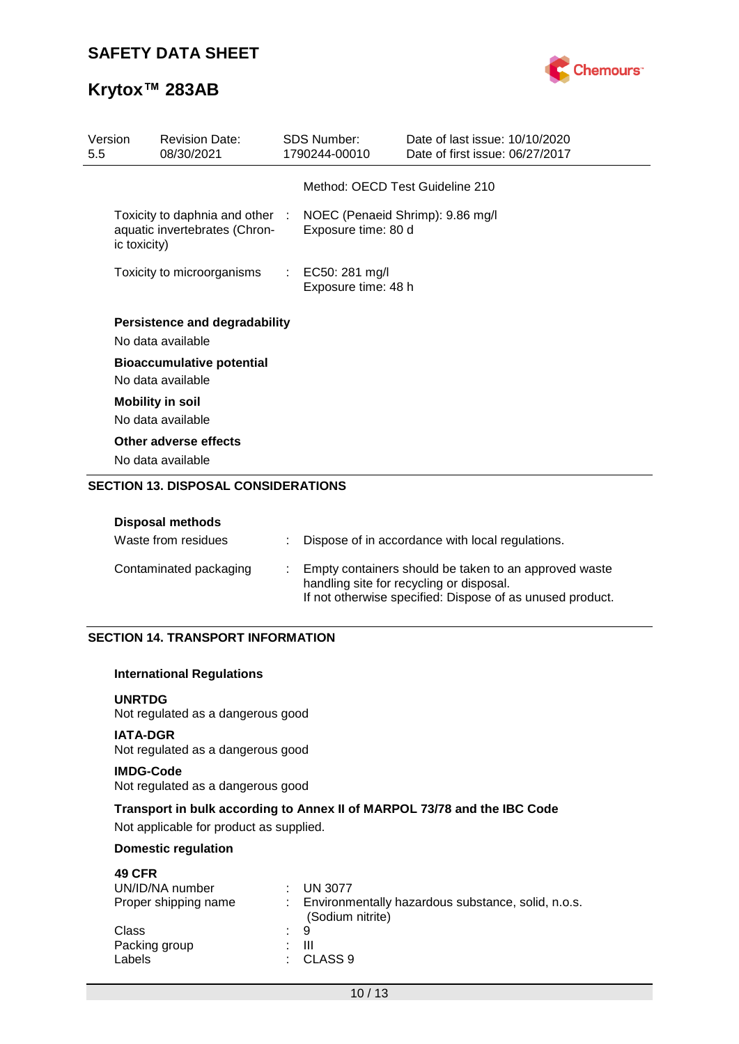

# **Krytox™ 283AB**

| Version<br>5.5 |              | <b>Revision Date:</b><br>08/30/2021                              | <b>SDS Number:</b><br>1790244-00010                     | Date of last issue: 10/10/2020<br>Date of first issue: 06/27/2017 |
|----------------|--------------|------------------------------------------------------------------|---------------------------------------------------------|-------------------------------------------------------------------|
|                |              |                                                                  | Method: OECD Test Guideline 210                         |                                                                   |
|                | ic toxicity) | Toxicity to daphnia and other :<br>aquatic invertebrates (Chron- | NOEC (Penaeid Shrimp): 9.86 mg/l<br>Exposure time: 80 d |                                                                   |
|                |              | Toxicity to microorganisms                                       | : EC50: 281 mg/l<br>Exposure time: 48 h                 |                                                                   |
|                |              | <b>Persistence and degradability</b><br>No data available        |                                                         |                                                                   |
|                |              | <b>Bioaccumulative potential</b><br>No data available            |                                                         |                                                                   |
|                |              | <b>Mobility in soil</b><br>No data available                     |                                                         |                                                                   |
|                |              | Other adverse effects<br>No data available                       |                                                         |                                                                   |

### **SECTION 13. DISPOSAL CONSIDERATIONS**

### **Disposal methods**

| Waste from residues    | Dispose of in accordance with local regulations.                                                                                                               |
|------------------------|----------------------------------------------------------------------------------------------------------------------------------------------------------------|
| Contaminated packaging | Empty containers should be taken to an approved waste<br>handling site for recycling or disposal.<br>If not otherwise specified: Dispose of as unused product. |

### **SECTION 14. TRANSPORT INFORMATION**

### **International Regulations**

### **UNRTDG**

Not regulated as a dangerous good

### **IATA-DGR** Not regulated as a dangerous good

### **IMDG-Code**

Not regulated as a dangerous good

### **Transport in bulk according to Annex II of MARPOL 73/78 and the IBC Code**

Not applicable for product as supplied.

### **Domestic regulation**

| <b>49 CFR</b>        |                                                                        |
|----------------------|------------------------------------------------------------------------|
| UN/ID/NA number      | UN 3077                                                                |
| Proper shipping name | Environmentally hazardous substance, solid, n.o.s.<br>(Sodium nitrite) |
| Class                | $\therefore$ 9                                                         |
| Packing group        | Ш<br>. .                                                               |
| Labels               | CLASS <sub>9</sub>                                                     |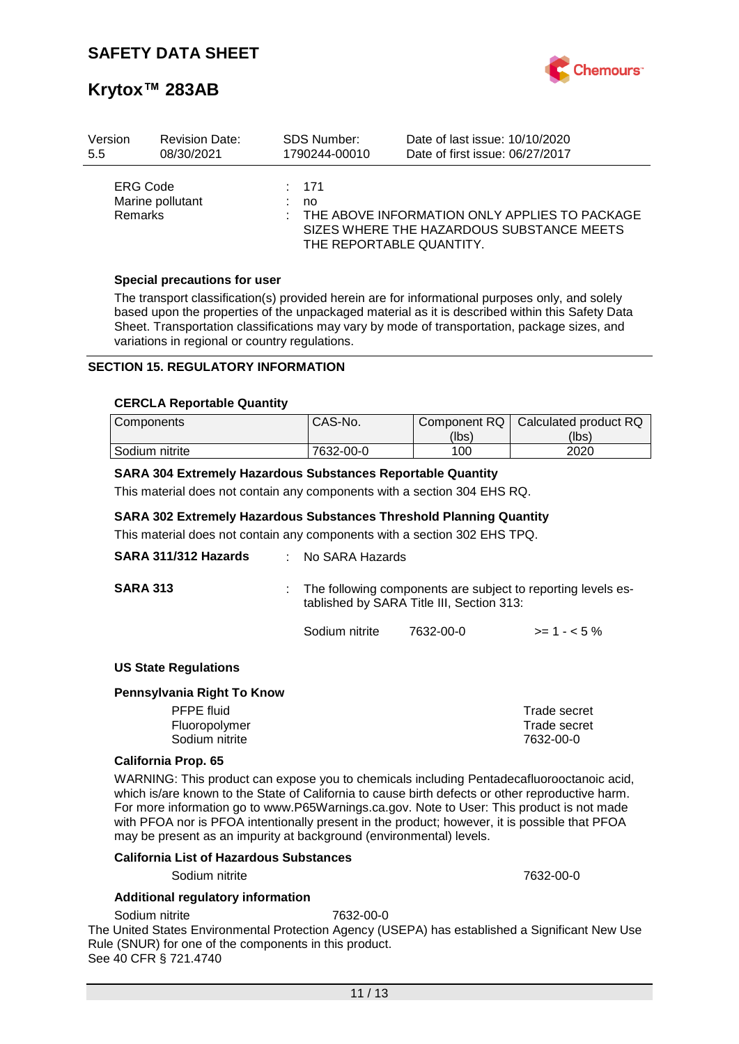

| Version                           | <b>Revision Date:</b> | <b>SDS Number:</b> | Date of last issue: 10/10/2020                                                                                         |
|-----------------------------------|-----------------------|--------------------|------------------------------------------------------------------------------------------------------------------------|
| 5.5                               | 08/30/2021            | 1790244-00010      | Date of first issue: 06/27/2017                                                                                        |
| <b>ERG Code</b><br><b>Remarks</b> | Marine pollutant      | $\div$ 171<br>no   | THE ABOVE INFORMATION ONLY APPLIES TO PACKAGE<br>SIZES WHERE THE HAZARDOUS SUBSTANCE MEETS<br>THE REPORTABLE QUANTITY. |

### **Special precautions for user**

The transport classification(s) provided herein are for informational purposes only, and solely based upon the properties of the unpackaged material as it is described within this Safety Data Sheet. Transportation classifications may vary by mode of transportation, package sizes, and variations in regional or country regulations.

### **SECTION 15. REGULATORY INFORMATION**

#### **CERCLA Reportable Quantity**

| Components     | CAS-No.   | Component RQ | Calculated product RQ |
|----------------|-----------|--------------|-----------------------|
|                |           | (lbs)        | (lbs)                 |
| Sodium nitrite | 7632-00-0 | 100          | 2020                  |

### **SARA 304 Extremely Hazardous Substances Reportable Quantity**

This material does not contain any components with a section 304 EHS RQ.

### **SARA 302 Extremely Hazardous Substances Threshold Planning Quantity**

This material does not contain any components with a section 302 EHS TPQ.

| SARA 311/312 Hazards        | $:$ No SARA Hazards |                                                                                                           |              |  |  |
|-----------------------------|---------------------|-----------------------------------------------------------------------------------------------------------|--------------|--|--|
| <b>SARA 313</b>             |                     | The following components are subject to reporting levels es-<br>tablished by SARA Title III, Section 313: |              |  |  |
|                             | Sodium nitrite      | 7632-00-0                                                                                                 | $>= 1 - 5\%$ |  |  |
| <b>US State Regulations</b> |                     |                                                                                                           |              |  |  |
| Pennsylvania Right To Know  |                     |                                                                                                           |              |  |  |
| <b>PFPE</b> fluid           |                     |                                                                                                           | Trade secret |  |  |
| Fluoropolymer               |                     |                                                                                                           | Trade secret |  |  |

### **California Prop. 65**

WARNING: This product can expose you to chemicals including Pentadecafluorooctanoic acid, which is/are known to the State of California to cause birth defects or other reproductive harm. For more information go to www.P65Warnings.ca.gov. Note to User: This product is not made with PFOA nor is PFOA intentionally present in the product; however, it is possible that PFOA may be present as an impurity at background (environmental) levels.

Sodium nitrite 7632-00-0

#### **California List of Hazardous Substances**

Sodium nitrite 7632-00-0

### **Additional regulatory information**

Sodium nitrite 7632-00-0

The United States Environmental Protection Agency (USEPA) has established a Significant New Use Rule (SNUR) for one of the components in this product. See 40 CFR § 721.4740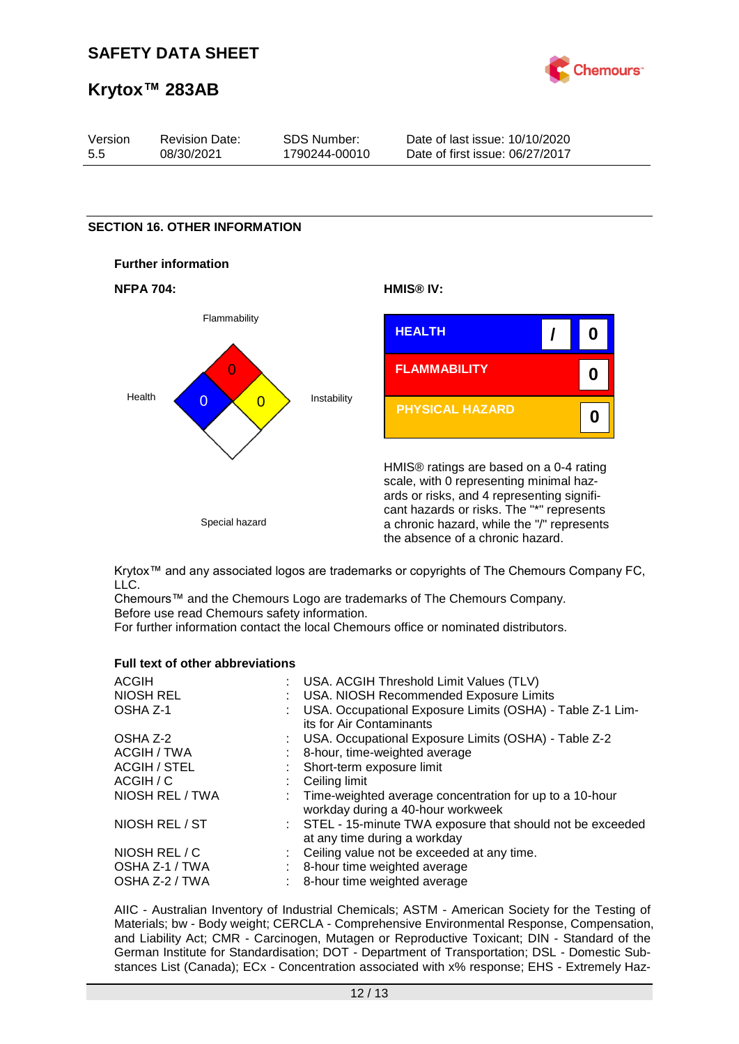

| Version | <b>Revision Date:</b> | SDS Number:   | Date of last issue: 10/10/2020  |
|---------|-----------------------|---------------|---------------------------------|
| 5.5     | 08/30/2021            | 1790244-00010 | Date of first issue: 06/27/2017 |

### **SECTION 16. OTHER INFORMATION**









HMIS® ratings are based on a 0-4 rating scale, with 0 representing minimal hazards or risks, and 4 representing significant hazards or risks. The "\*" represents a chronic hazard, while the "/" represents the absence of a chronic hazard.

Krytox™ and any associated logos are trademarks or copyrights of The Chemours Company FC, LLC.

Chemours™ and the Chemours Logo are trademarks of The Chemours Company. Before use read Chemours safety information.

For further information contact the local Chemours office or nominated distributors.

#### **Full text of other abbreviations**

| : USA. ACGIH Threshold Limit Values (TLV)                                                      |
|------------------------------------------------------------------------------------------------|
| : USA. NIOSH Recommended Exposure Limits                                                       |
| : USA. Occupational Exposure Limits (OSHA) - Table Z-1 Lim-<br>its for Air Contaminants        |
| : USA. Occupational Exposure Limits (OSHA) - Table Z-2                                         |
| 8-hour, time-weighted average                                                                  |
| : Short-term exposure limit                                                                    |
| : Ceiling limit                                                                                |
| : Time-weighted average concentration for up to a 10-hour<br>workday during a 40-hour workweek |
| : STEL - 15-minute TWA exposure that should not be exceeded<br>at any time during a workday    |
| : Ceiling value not be exceeded at any time.                                                   |
| : 8-hour time weighted average                                                                 |
| 8-hour time weighted average                                                                   |
|                                                                                                |

AIIC - Australian Inventory of Industrial Chemicals; ASTM - American Society for the Testing of Materials; bw - Body weight; CERCLA - Comprehensive Environmental Response, Compensation, and Liability Act; CMR - Carcinogen, Mutagen or Reproductive Toxicant; DIN - Standard of the German Institute for Standardisation; DOT - Department of Transportation; DSL - Domestic Substances List (Canada); ECx - Concentration associated with x% response; EHS - Extremely Haz-